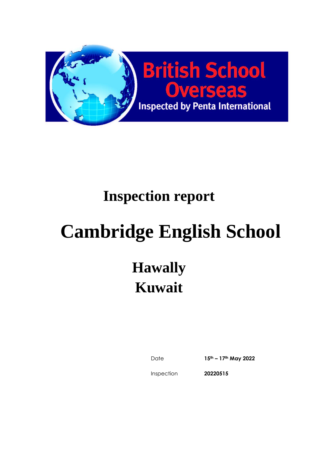

# **Cambridge English School**

# **Hawally Kuwait**

Date **15th – 17th May 2022**

Inspection

**20220515**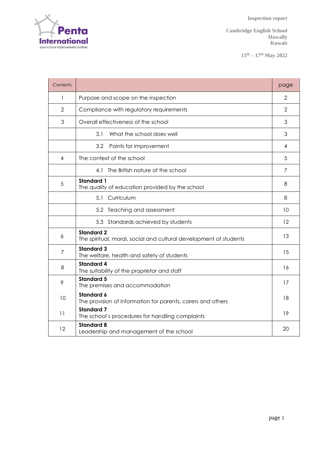

**15th – 17th May 2022**

| Contents       |                                                                                        | page |  |  |  |  |
|----------------|----------------------------------------------------------------------------------------|------|--|--|--|--|
| 1              | Purpose and scope on the inspection                                                    |      |  |  |  |  |
| $\overline{2}$ | Compliance with regulatory requirements                                                |      |  |  |  |  |
| 3              | Overall effectiveness of the school                                                    | 3    |  |  |  |  |
|                | 3.1<br>What the school does well                                                       | 3    |  |  |  |  |
|                | 3.2<br>Points for improvement                                                          | 4    |  |  |  |  |
| 4              | The context of the school                                                              | 5    |  |  |  |  |
|                | 4.1 The British nature of the school                                                   | 7    |  |  |  |  |
| 5              | <b>Standard 1</b><br>The quality of education provided by the school                   | 8    |  |  |  |  |
|                | 5.1 Curriculum                                                                         | 8    |  |  |  |  |
|                | 5.2 Teaching and assessment                                                            | 10   |  |  |  |  |
|                | 5.3 Standards achieved by students                                                     | 12   |  |  |  |  |
| 6              | <b>Standard 2</b><br>The spiritual, moral, social and cultural development of students | 13   |  |  |  |  |
| $\overline{7}$ | <b>Standard 3</b><br>The welfare, health and safety of students                        | 15   |  |  |  |  |
| 8              | <b>Standard 4</b><br>The suitability of the proprietor and staff                       | 16   |  |  |  |  |
| 9              | <b>Standard 5</b><br>The premises and accommodation                                    | 17   |  |  |  |  |
| 10             | <b>Standard 6</b><br>The provision of information for parents, carers and others       | 18   |  |  |  |  |
| 11             | <b>Standard 7</b><br>The school's procedures for handling complaints                   | 19   |  |  |  |  |
| 12             | <b>Standard 8</b><br>Leadership and management of the school                           | 20   |  |  |  |  |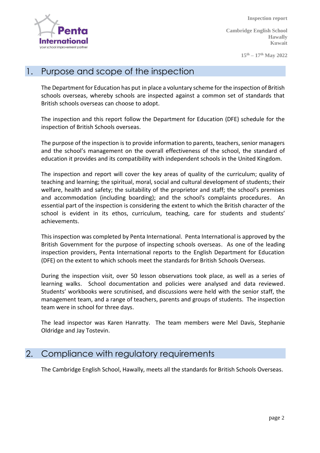Internal your school improvement partne

 **Inspection report**

**Cambridge English School Hawally Kuwait**

**15th – 17th May 2022**

#### 1. Purpose and scope of the inspection

The Department for Education has put in place a voluntary scheme for the inspection of British schools overseas, whereby schools are inspected against a common set of standards that British schools overseas can choose to adopt.

The inspection and this report follow the Department for Education (DFE) schedule for the inspection of British Schools overseas.

The purpose of the inspection is to provide information to parents, teachers, senior managers and the school's management on the overall effectiveness of the school, the standard of education it provides and its compatibility with independent schools in the United Kingdom.

The inspection and report will cover the key areas of quality of the curriculum; quality of teaching and learning; the spiritual, moral, social and cultural development of students; their welfare, health and safety; the suitability of the proprietor and staff; the school's premises and accommodation (including boarding); and the school's complaints procedures. An essential part of the inspection is considering the extent to which the British character of the school is evident in its ethos, curriculum, teaching, care for students and students' achievements.

This inspection was completed by Penta International. Penta International is approved by the British Government for the purpose of inspecting schools overseas. As one of the leading inspection providers, Penta International reports to the English Department for Education (DFE) on the extent to which schools meet the standards for British Schools Overseas.

During the inspection visit, over 50 lesson observations took place, as well as a series of learning walks. School documentation and policies were analysed and data reviewed. Students' workbooks were scrutinised, and discussions were held with the senior staff, the management team, and a range of teachers, parents and groups of students. The inspection team were in school for three days.

The lead inspector was Karen Hanratty. The team members were Mel Davis, Stephanie Oldridge and Jay Tostevin.

#### 2. Compliance with regulatory requirements

The Cambridge English School, Hawally, meets all the standards for British Schools Overseas.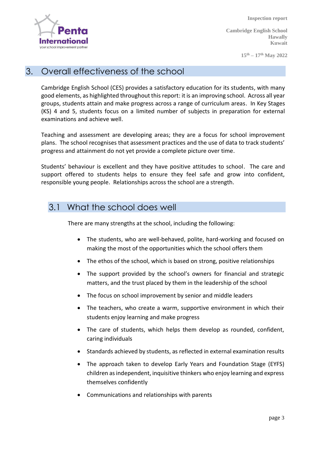Internati your school improvement partne

 **Inspection report**

**Cambridge English School Hawally Kuwait**

**15th – 17th May 2022**

#### 3. Overall effectiveness of the school

Cambridge English School (CES) provides a satisfactory education for its students, with many good elements, as highlighted throughout this report: it is an improving school. Across all year groups, students attain and make progress across a range of curriculum areas. In Key Stages (KS) 4 and 5, students focus on a limited number of subjects in preparation for external examinations and achieve well.

Teaching and assessment are developing areas; they are a focus for school improvement plans. The school recognises that assessment practices and the use of data to track students' progress and attainment do not yet provide a complete picture over time.

Students' behaviour is excellent and they have positive attitudes to school. The care and support offered to students helps to ensure they feel safe and grow into confident, responsible young people. Relationships across the school are a strength.

#### 3.1 What the school does well

There are many strengths at the school, including the following:

- The students, who are well-behaved, polite, hard-working and focused on making the most of the opportunities which the school offers them
- The ethos of the school, which is based on strong, positive relationships
- The support provided by the school's owners for financial and strategic matters, and the trust placed by them in the leadership of the school
- The focus on school improvement by senior and middle leaders
- The teachers, who create a warm, supportive environment in which their students enjoy learning and make progress
- The care of students, which helps them develop as rounded, confident, caring individuals
- Standards achieved by students, as reflected in external examination results
- The approach taken to develop Early Years and Foundation Stage (EYFS) children as independent, inquisitive thinkers who enjoy learning and express themselves confidently
- Communications and relationships with parents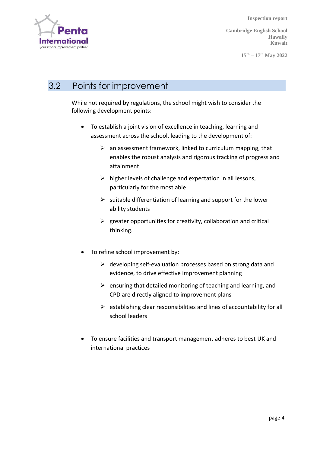

**Cambridge English School Hawally Kuwait**

**15th – 17th May 2022**

# 3.2 Points for improvement

While not required by regulations, the school might wish to consider the following development points:

- To establish a joint vision of excellence in teaching, learning and assessment across the school, leading to the development of:
	- $\triangleright$  an assessment framework, linked to curriculum mapping, that enables the robust analysis and rigorous tracking of progress and attainment
	- $\triangleright$  higher levels of challenge and expectation in all lessons, particularly for the most able
	- $\triangleright$  suitable differentiation of learning and support for the lower ability students
	- $\triangleright$  greater opportunities for creativity, collaboration and critical thinking.
- To refine school improvement by:
	- $\triangleright$  developing self-evaluation processes based on strong data and evidence, to drive effective improvement planning
	- $\triangleright$  ensuring that detailed monitoring of teaching and learning, and CPD are directly aligned to improvement plans
	- $\triangleright$  establishing clear responsibilities and lines of accountability for all school leaders
- To ensure facilities and transport management adheres to best UK and international practices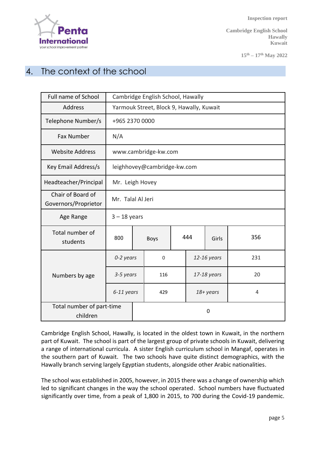

**15th – 17th May 2022**

### 4. The context of the school

| Full name of School                       | Cambridge English School, Hawally        |  |             |  |              |  |     |
|-------------------------------------------|------------------------------------------|--|-------------|--|--------------|--|-----|
| Address                                   | Yarmouk Street, Block 9, Hawally, Kuwait |  |             |  |              |  |     |
| Telephone Number/s                        | +965 2370 0000                           |  |             |  |              |  |     |
| <b>Fax Number</b>                         | N/A                                      |  |             |  |              |  |     |
| <b>Website Address</b>                    | www.cambridge-kw.com                     |  |             |  |              |  |     |
| Key Email Address/s                       | leighhovey@cambridge-kw.com              |  |             |  |              |  |     |
| Headteacher/Principal                     | Mr. Leigh Hovey                          |  |             |  |              |  |     |
| Chair of Board of<br>Governors/Proprietor | Mr. Talal Al Jeri                        |  |             |  |              |  |     |
| Age Range                                 | $3 - 18$ years                           |  |             |  |              |  |     |
| Total number of<br>students               | 800                                      |  | Boys        |  | 444<br>Girls |  | 356 |
|                                           | 0-2 years                                |  | $\mathbf 0$ |  | 12-16 years  |  | 231 |
| Numbers by age                            | 3-5 years                                |  | 116         |  | 17-18 years  |  | 20  |
|                                           | 6-11 years                               |  | 429         |  | 18+ years    |  | 4   |
| Total number of part-time<br>children     |                                          |  | 0           |  |              |  |     |

Cambridge English School, Hawally, is located in the oldest town in Kuwait, in the northern part of Kuwait. The school is part of the largest group of private schools in Kuwait, delivering a range of international curricula. A sister English curriculum school in Mangaf, operates in the southern part of Kuwait. The two schools have quite distinct demographics, with the Hawally branch serving largely Egyptian students, alongside other Arabic nationalities.

The school was established in 2005, however, in 2015 there was a change of ownership which led to significant changes in the way the school operated. School numbers have fluctuated significantly over time, from a peak of 1,800 in 2015, to 700 during the Covid-19 pandemic.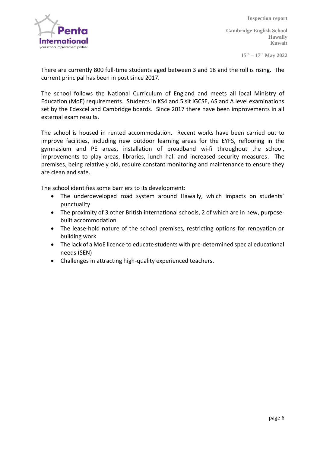

**Cambridge English School Hawally Kuwait**

**15th – 17th May 2022**

There are currently 800 full-time students aged between 3 and 18 and the roll is rising. The current principal has been in post since 2017.

The school follows the National Curriculum of England and meets all local Ministry of Education (MoE) requirements. Students in KS4 and 5 sit iGCSE, AS and A level examinations set by the Edexcel and Cambridge boards. Since 2017 there have been improvements in all external exam results.

The school is housed in rented accommodation. Recent works have been carried out to improve facilities, including new outdoor learning areas for the EYFS, reflooring in the gymnasium and PE areas, installation of broadband wi-fi throughout the school, improvements to play areas, libraries, lunch hall and increased security measures. The premises, being relatively old, require constant monitoring and maintenance to ensure they are clean and safe.

The school identifies some barriers to its development:

- The underdeveloped road system around Hawally, which impacts on students' punctuality
- The proximity of 3 other British international schools, 2 of which are in new, purposebuilt accommodation
- The lease-hold nature of the school premises, restricting options for renovation or building work
- The lack of a MoE licence to educate students with pre-determined special educational needs (SEN)
- Challenges in attracting high-quality experienced teachers.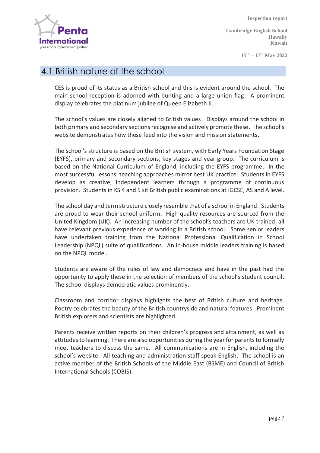

**Cambridge English School Hawally Kuwait**

**15th – 17th May 2022**

#### 4.1 British nature of the school

CES is proud of its status as a British school and this is evident around the school. The main school reception is adorned with bunting and a large union flag. A prominent display celebrates the platinum jubilee of Queen Elizabeth II.

The school's values are closely aligned to British values. Displays around the school in both primary and secondary sections recognise and actively promote these. The school's website demonstrates how these feed into the vision and mission statements.

The school's structure is based on the British system, with Early Years Foundation Stage (EYFS), primary and secondary sections, key stages and year group. The curriculum is based on the National Curriculum of England, including the EYFS programme. In the most successful lessons, teaching approaches mirror best UK practice. Students in EYFS develop as creative, independent learners through a programme of continuous provision. Students in KS 4 and 5 sit British public examinations at iGCSE, AS and A level.

The school day and term structure closely resemble that of a school in England. Students are proud to wear their school uniform. High quality resources are sourced from the United Kingdom (UK). An increasing number of the school's teachers are UK trained; all have relevant previous experience of working in a British school. Some senior leaders have undertaken training from the National Professional Qualification in School Leadership (NPQL) suite of qualifications. An in-house middle leaders training is based on the NPQL model.

Students are aware of the rules of law and democracy and have in the past had the opportunity to apply these in the selection of members of the school's student council. The school displays democratic values prominently.

Classroom and corridor displays highlights the best of British culture and heritage. Poetry celebrates the beauty of the British countryside and natural features. Prominent British explorers and scientists are highlighted.

Parents receive written reports on their children's progress and attainment, as well as attitudes to learning. There are also opportunities during the year for parents to formally meet teachers to discuss the same. All communications are in English, including the school's website. All teaching and administration staff speak English. The school is an active member of the British Schools of the Middle East (BSME) and Council of British International Schools (COBIS).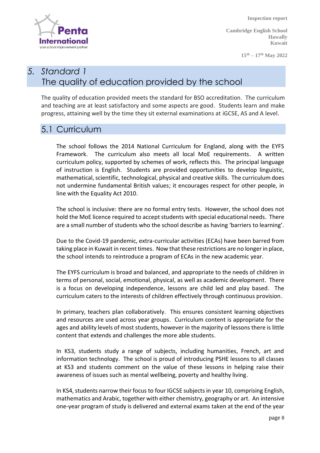ternat your school improvement partne

 **Inspection report**

**Cambridge English School Hawally Kuwait**

**15th – 17th May 2022**

# *5. Standard 1* The quality of education provided by the school

The quality of education provided meets the standard for BSO accreditation. The curriculum and teaching are at least satisfactory and some aspects are good. Students learn and make progress, attaining well by the time they sit external examinations at iGCSE, AS and A level.

#### 5.1 Curriculum

The school follows the 2014 National Curriculum for England, along with the EYFS Framework. The curriculum also meets all local MoE requirements. A written curriculum policy, supported by schemes of work, reflects this. The principal language of instruction is English. Students are provided opportunities to develop linguistic, mathematical, scientific, technological, physical and creative skills. The curriculum does not undermine fundamental British values; it encourages respect for other people, in line with the Equality Act 2010.

The school is inclusive: there are no formal entry tests. However, the school does not hold the MoE licence required to accept students with special educational needs. There are a small number of students who the school describe as having 'barriers to learning'.

Due to the Covid-19 pandemic, extra-curricular activities (ECAs) have been barred from taking place in Kuwait in recent times. Now that these restrictions are no longer in place, the school intends to reintroduce a program of ECAs in the new academic year.

The EYFS curriculum is broad and balanced, and appropriate to the needs of children in terms of personal, social, emotional, physical, as well as academic development. There is a focus on developing independence, lessons are child led and play based. The curriculum caters to the interests of children effectively through continuous provision.

In primary, teachers plan collaboratively. This ensures consistent learning objectives and resources are used across year groups. Curriculum content is appropriate for the ages and ability levels of most students, however in the majority of lessons there is little content that extends and challenges the more able students.

In KS3, students study a range of subjects, including humanities, French, art and information technology. The school is proud of introducing PSHE lessons to all classes at KS3 and students comment on the value of these lessons in helping raise their awareness of issues such as mental wellbeing, poverty and healthy living.

In KS4, students narrow their focus to four IGCSE subjects in year 10, comprising English, mathematics and Arabic, together with either chemistry, geography or art. An intensive one-year program of study is delivered and external exams taken at the end of the year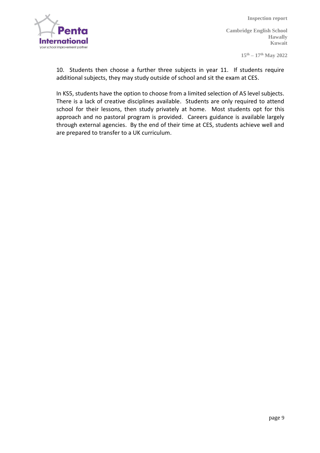

**15th – 17th May 2022**

10. Students then choose a further three subjects in year 11. If students require additional subjects, they may study outside of school and sit the exam at CES.

In KS5, students have the option to choose from a limited selection of AS level subjects. There is a lack of creative disciplines available. Students are only required to attend school for their lessons, then study privately at home. Most students opt for this approach and no pastoral program is provided. Careers guidance is available largely through external agencies. By the end of their time at CES, students achieve well and are prepared to transfer to a UK curriculum.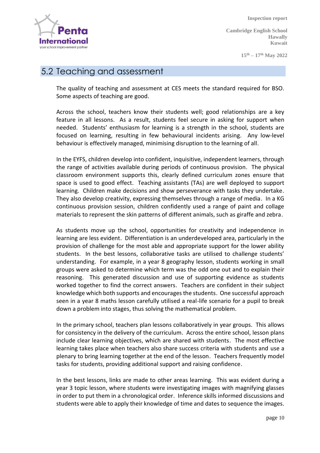

**15th – 17th May 2022**

#### 5.2 Teaching and assessment

The quality of teaching and assessment at CES meets the standard required for BSO. Some aspects of teaching are good.

Across the school, teachers know their students well; good relationships are a key feature in all lessons. As a result, students feel secure in asking for support when needed. Students' enthusiasm for learning is a strength in the school, students are focused on learning, resulting in few behavioural incidents arising. Any low-level behaviour is effectively managed, minimising disruption to the learning of all.

In the EYFS, children develop into confident, inquisitive, independent learners, through the range of activities available during periods of continuous provision. The physical classroom environment supports this, clearly defined curriculum zones ensure that space is used to good effect. Teaching assistants (TAs) are well deployed to support learning. Children make decisions and show perseverance with tasks they undertake. They also develop creativity, expressing themselves through a range of media. In a KG continuous provision session, children confidently used a range of paint and collage materials to represent the skin patterns of different animals, such as giraffe and zebra.

As students move up the school, opportunities for creativity and independence in learning are less evident. Differentiation is an underdeveloped area, particularly in the provision of challenge for the most able and appropriate support for the lower ability students. In the best lessons, collaborative tasks are utilised to challenge students' understanding. For example, in a year 8 geography lesson, students working in small groups were asked to determine which term was the odd one out and to explain their reasoning. This generated discussion and use of supporting evidence as students worked together to find the correct answers. Teachers are confident in their subject knowledge which both supports and encourages the students. One successful approach seen in a year 8 maths lesson carefully utilised a real-life scenario for a pupil to break down a problem into stages, thus solving the mathematical problem.

In the primary school, teachers plan lessons collaboratively in year groups. This allows for consistency in the delivery of the curriculum. Across the entire school, lesson plans include clear learning objectives, which are shared with students. The most effective learning takes place when teachers also share success criteria with students and use a plenary to bring learning together at the end of the lesson. Teachers frequently model tasks for students, providing additional support and raising confidence.

In the best lessons, links are made to other areas learning. This was evident during a year 3 topic lesson, where students were investigating images with magnifying glasses in order to put them in a chronological order. Inference skills informed discussions and students were able to apply their knowledge of time and dates to sequence the images.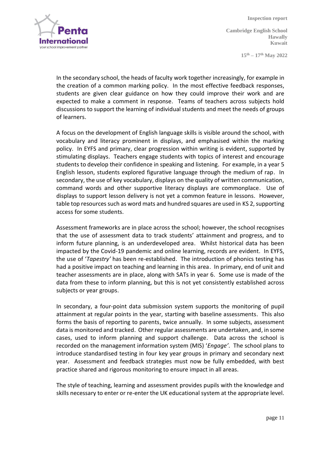

**Cambridge English School Hawally Kuwait**

**15th – 17th May 2022**

In the secondary school, the heads of faculty work together increasingly, for example in the creation of a common marking policy. In the most effective feedback responses, students are given clear guidance on how they could improve their work and are expected to make a comment in response. Teams of teachers across subjects hold discussions to support the learning of individual students and meet the needs of groups of learners.

A focus on the development of English language skills is visible around the school, with vocabulary and literacy prominent in displays, and emphasised within the marking policy. In EYFS and primary, clear progression within writing is evident, supported by stimulating displays. Teachers engage students with topics of interest and encourage students to develop their confidence in speaking and listening. For example, in a year 5 English lesson, students explored figurative language through the medium of rap. In secondary, the use of key vocabulary, displays on the quality of written communication, command words and other supportive literacy displays are commonplace. Use of displays to support lesson delivery is not yet a common feature in lessons. However, table top resources such as word mats and hundred squares are used in KS 2, supporting access for some students.

Assessment frameworks are in place across the school; however, the school recognises that the use of assessment data to track students' attainment and progress, and to inform future planning, is an underdeveloped area. Whilst historical data has been impacted by the Covid-19 pandemic and online learning, records are evident. In EYFS, the use of '*Tapestry'* has been re-established. The introduction of phonics testing has had a positive impact on teaching and learning in this area. In primary, end of unit and teacher assessments are in place, along with SATs in year 6. Some use is made of the data from these to inform planning, but this is not yet consistently established across subjects or year groups.

In secondary, a four-point data submission system supports the monitoring of pupil attainment at regular points in the year, starting with baseline assessments. This also forms the basis of reporting to parents, twice annually. In some subjects, assessment data is monitored and tracked. Other regular assessments are undertaken, and, in some cases, used to inform planning and support challenge. Data across the school is recorded on the management information system (MIS) '*Engage'*. The school plans to introduce standardised testing in four key year groups in primary and secondary next year. Assessment and feedback strategies must now be fully embedded, with best practice shared and rigorous monitoring to ensure impact in all areas.

The style of teaching, learning and assessment provides pupils with the knowledge and skills necessary to enter or re-enter the UK educational system at the appropriate level.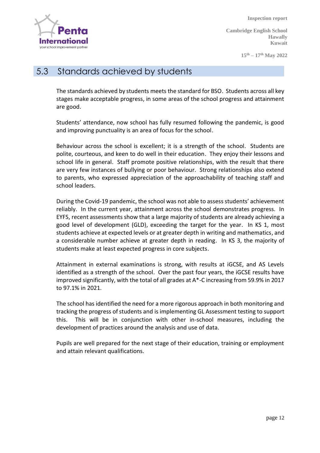Internati your school improvement partne

 **Inspection report**

**Cambridge English School Hawally Kuwait**

**15th – 17th May 2022**

#### 5.3 Standards achieved by students

The standards achieved by students meets the standard for BSO. Students across all key stages make acceptable progress, in some areas of the school progress and attainment are good.

Students' attendance, now school has fully resumed following the pandemic, is good and improving punctuality is an area of focus for the school.

Behaviour across the school is excellent; it is a strength of the school. Students are polite, courteous, and keen to do well in their education. They enjoy their lessons and school life in general. Staff promote positive relationships, with the result that there are very few instances of bullying or poor behaviour. Strong relationships also extend to parents, who expressed appreciation of the approachability of teaching staff and school leaders.

During the Covid-19 pandemic, the school was not able to assess students' achievement reliably. In the current year, attainment across the school demonstrates progress. In EYFS, recent assessments show that a large majority of students are already achieving a good level of development (GLD), exceeding the target for the year. In KS 1, most students achieve at expected levels or at greater depth in writing and mathematics, and a considerable number achieve at greater depth in reading. In KS 3, the majority of students make at least expected progress in core subjects.

Attainment in external examinations is strong, with results at iGCSE, and AS Levels identified as a strength of the school. Over the past four years, the iGCSE results have improved significantly, with the total of all grades at A\*-C increasing from 59.9% in 2017 to 97.1% in 2021.

The school has identified the need for a more rigorous approach in both monitoring and tracking the progress of students and is implementing GL Assessment testing to support this. This will be in conjunction with other in-school measures, including the development of practices around the analysis and use of data.

Pupils are well prepared for the next stage of their education, training or employment and attain relevant qualifications.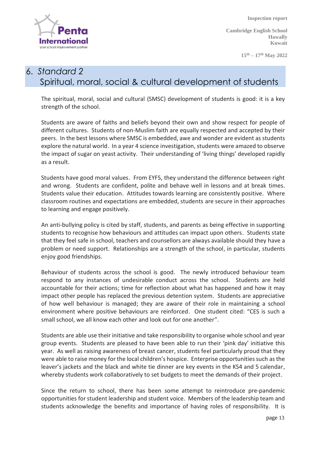

**15th – 17th May 2022**

#### 6. *Standard 2* Spiritual, moral, social & cultural development of students

The spiritual, moral, social and cultural (SMSC) development of students is good: it is a key strength of the school.

Students are aware of faiths and beliefs beyond their own and show respect for people of different cultures. Students of non-Muslim faith are equally respected and accepted by their peers. In the best lessons where SMSC is embedded, awe and wonder are evident as students explore the natural world. In a year 4 science investigation, students were amazed to observe the impact of sugar on yeast activity. Their understanding of 'living things' developed rapidly as a result.

Students have good moral values. From EYFS, they understand the difference between right and wrong. Students are confident, polite and behave well in lessons and at break times. Students value their education. Attitudes towards learning are consistently positive. Where classroom routines and expectations are embedded, students are secure in their approaches to learning and engage positively.

An anti-bullying policy is cited by staff, students, and parents as being effective in supporting students to recognise how behaviours and attitudes can impact upon others. Students state that they feel safe in school, teachers and counsellors are always available should they have a problem or need support. Relationships are a strength of the school, in particular, students enjoy good friendships.

Behaviour of students across the school is good. The newly introduced behaviour team respond to any instances of undesirable conduct across the school. Students are held accountable for their actions; time for reflection about what has happened and how it may impact other people has replaced the previous detention system. Students are appreciative of how well behaviour is managed; they are aware of their role in maintaining a school environment where positive behaviours are reinforced. One student cited: "CES is such a small school, we all know each other and look out for one another".

Students are able use their initiative and take responsibility to organise whole school and year group events. Students are pleased to have been able to run their 'pink day' initiative this year. As well as raising awareness of breast cancer, students feel particularly proud that they were able to raise money for the local children's hospice. Enterprise opportunities such as the leaver's jackets and the black and white tie dinner are key events in the KS4 and 5 calendar, whereby students work collaboratively to set budgets to meet the demands of their project.

Since the return to school, there has been some attempt to reintroduce pre-pandemic opportunities for student leadership and student voice. Members of the leadership team and students acknowledge the benefits and importance of having roles of responsibility. It is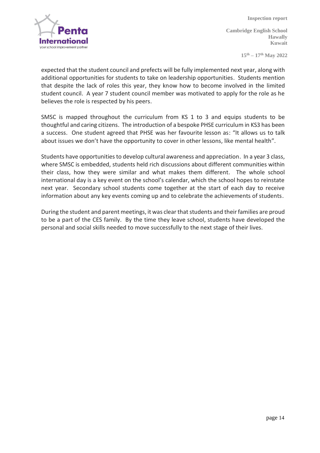

**Cambridge English School Hawally Kuwait**

**15th – 17th May 2022**

expected that the student council and prefects will be fully implemented next year, along with additional opportunities for students to take on leadership opportunities. Students mention that despite the lack of roles this year, they know how to become involved in the limited student council. A year 7 student council member was motivated to apply for the role as he believes the role is respected by his peers.

SMSC is mapped throughout the curriculum from KS 1 to 3 and equips students to be thoughtful and caring citizens. The introduction of a bespoke PHSE curriculum in KS3 has been a success. One student agreed that PHSE was her favourite lesson as: "It allows us to talk about issues we don't have the opportunity to cover in other lessons, like mental health".

Students have opportunities to develop cultural awareness and appreciation. In a year 3 class, where SMSC is embedded, students held rich discussions about different communities within their class, how they were similar and what makes them different. The whole school international day is a key event on the school's calendar, which the school hopes to reinstate next year. Secondary school students come together at the start of each day to receive information about any key events coming up and to celebrate the achievements of students.

During the student and parent meetings, it was clear that students and their families are proud to be a part of the CES family. By the time they leave school, students have developed the personal and social skills needed to move successfully to the next stage of their lives.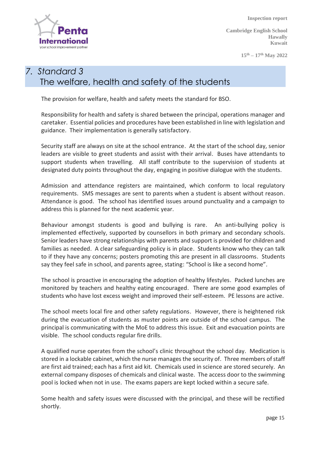**Internat** your school improvement partne

 **Inspection report**

**Cambridge English School Hawally Kuwait**

**15th – 17th May 2022**

## *7. Standard 3* The welfare, health and safety of the students

The provision for welfare, health and safety meets the standard for BSO.

Responsibility for health and safety is shared between the principal, operations manager and caretaker. Essential policies and procedures have been established in line with legislation and guidance. Their implementation is generally satisfactory.

Security staff are always on site at the school entrance. At the start of the school day, senior leaders are visible to greet students and assist with their arrival. Buses have attendants to support students when travelling. All staff contribute to the supervision of students at designated duty points throughout the day, engaging in positive dialogue with the students.

Admission and attendance registers are maintained, which conform to local regulatory requirements. SMS messages are sent to parents when a student is absent without reason. Attendance is good. The school has identified issues around punctuality and a campaign to address this is planned for the next academic year.

Behaviour amongst students is good and bullying is rare. An anti-bullying policy is implemented effectively, supported by counsellors in both primary and secondary schools. Senior leaders have strong relationships with parents and support is provided for children and families as needed. A clear safeguarding policy is in place. Students know who they can talk to if they have any concerns; posters promoting this are present in all classrooms. Students say they feel safe in school, and parents agree, stating: "School is like a second home".

The school is proactive in encouraging the adoption of healthy lifestyles. Packed lunches are monitored by teachers and healthy eating encouraged. There are some good examples of students who have lost excess weight and improved their self-esteem. PE lessons are active.

The school meets local fire and other safety regulations. However, there is heightened risk during the evacuation of students as muster points are outside of the school campus. The principal is communicating with the MoE to address this issue. Exit and evacuation points are visible. The school conducts regular fire drills.

A qualified nurse operates from the school's clinic throughout the school day. Medication is stored in a lockable cabinet, which the nurse manages the security of. Three members of staff are first aid trained; each has a first aid kit. Chemicals used in science are stored securely. An external company disposes of chemicals and clinical waste. The access door to the swimming pool is locked when not in use. The exams papers are kept locked within a secure safe.

Some health and safety issues were discussed with the principal, and these will be rectified shortly.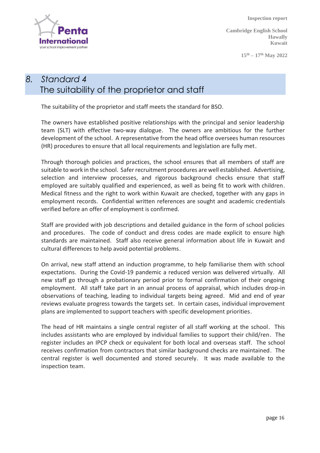

**Cambridge English School Hawally Kuwait**

**15th – 17th May 2022**

#### *8. Standard 4* The suitability of the proprietor and staff

The suitability of the proprietor and staff meets the standard for BSO.

The owners have established positive relationships with the principal and senior leadership team (SLT) with effective two-way dialogue. The owners are ambitious for the further development of the school. A representative from the head office oversees human resources (HR) procedures to ensure that all local requirements and legislation are fully met.

Through thorough policies and practices, the school ensures that all members of staff are suitable to work in the school. Safer recruitment procedures are well established. Advertising, selection and interview processes, and rigorous background checks ensure that staff employed are suitably qualified and experienced, as well as being fit to work with children. Medical fitness and the right to work within Kuwait are checked, together with any gaps in employment records. Confidential written references are sought and academic credentials verified before an offer of employment is confirmed.

Staff are provided with job descriptions and detailed guidance in the form of school policies and procedures. The code of conduct and dress codes are made explicit to ensure high standards are maintained. Staff also receive general information about life in Kuwait and cultural differences to help avoid potential problems.

On arrival, new staff attend an induction programme, to help familiarise them with school expectations. During the Covid-19 pandemic a reduced version was delivered virtually. All new staff go through a probationary period prior to formal confirmation of their ongoing employment. All staff take part in an annual process of appraisal, which includes drop-in observations of teaching, leading to individual targets being agreed. Mid and end of year reviews evaluate progress towards the targets set. In certain cases, individual improvement plans are implemented to support teachers with specific development priorities.

The head of HR maintains a single central register of all staff working at the school. This includes assistants who are employed by individual families to support their child/ren. The register includes an IPCP check or equivalent for both local and overseas staff. The school receives confirmation from contractors that similar background checks are maintained. The central register is well documented and stored securely. It was made available to the inspection team.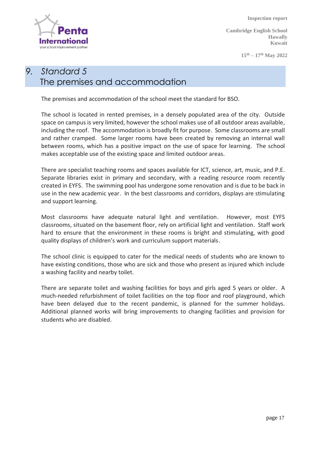

**Cambridge English School Hawally Kuwait**

**15th – 17th May 2022**

# *9. Standard 5* The premises and accommodation

The premises and accommodation of the school meet the standard for BSO.

The school is located in rented premises, in a densely populated area of the city. Outside space on campus is very limited, however the school makes use of all outdoor areas available, including the roof. The accommodation is broadly fit for purpose. Some classrooms are small and rather cramped. Some larger rooms have been created by removing an internal wall between rooms, which has a positive impact on the use of space for learning. The school makes acceptable use of the existing space and limited outdoor areas.

There are specialist teaching rooms and spaces available for ICT, science, art, music, and P.E. Separate libraries exist in primary and secondary, with a reading resource room recently created in EYFS. The swimming pool has undergone some renovation and is due to be back in use in the new academic year. In the best classrooms and corridors, displays are stimulating and support learning.

Most classrooms have adequate natural light and ventilation. However, most EYFS classrooms, situated on the basement floor, rely on artificial light and ventilation. Staff work hard to ensure that the environment in these rooms is bright and stimulating, with good quality displays of children's work and curriculum support materials.

The school clinic is equipped to cater for the medical needs of students who are known to have existing conditions, those who are sick and those who present as injured which include a washing facility and nearby toilet.

There are separate toilet and washing facilities for boys and girls aged 5 years or older. A much-needed refurbishment of toilet facilities on the top floor and roof playground, which have been delayed due to the recent pandemic, is planned for the summer holidays. Additional planned works will bring improvements to changing facilities and provision for students who are disabled.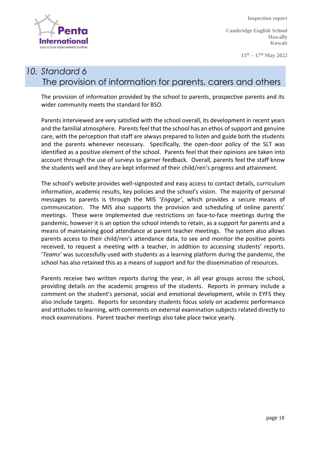

**15th – 17th May 2022**

#### *10. Standard 6* The provision of information for parents, carers and others

The provision of information provided by the school to parents, prospective parents and its wider community meets the standard for BSO.

Parents interviewed are very satisfied with the school overall, its development in recent years and the familial atmosphere. Parents feel that the school has an ethos of support and genuine care, with the perception that staff are always prepared to listen and guide both the students and the parents whenever necessary. Specifically, the open-door policy of the SLT was identified as a positive element of the school. Parents feel that their opinions are taken into account through the use of surveys to garner feedback. Overall, parents feel the staff know the students well and they are kept informed of their child/ren's progress and attainment.

The school's website provides well-signposted and easy access to contact details, curriculum information, academic results, key policies and the school's vision. The majority of personal messages to parents is through the MIS '*Engage'*, which provides a secure means of communication. The MIS also supports the provision and scheduling of online parents' meetings. These were implemented due restrictions on face-to-face meetings during the pandemic, however it is an option the school intends to retain, as a support for parents and a means of maintaining good attendance at parent teacher meetings. The system also allows parents access to their child/ren's attendance data, to see and monitor the positive points received, to request a meeting with a teacher, in addition to accessing students' reports. '*Teams'* was successfully used with students as a learning platform during the pandemic, the school has also retained this as a means of support and for the dissemination of resources.

Parents receive two written reports during the year, in all year groups across the school, providing details on the academic progress of the students. Reports in primary include a comment on the student's personal, social and emotional development, while in EYFS they also include targets. Reports for secondary students focus solely on academic performance and attitudes to learning, with comments on external examination subjects related directly to mock examinations. Parent teacher meetings also take place twice yearly.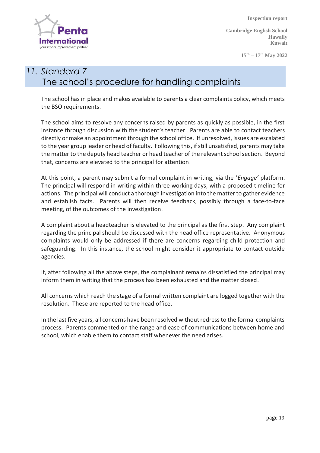

**Cambridge English School Hawally Kuwait**

**15th – 17th May 2022**

# *11. Standard 7* The school's procedure for handling complaints

The school has in place and makes available to parents a clear complaints policy, which meets the BSO requirements.

The school aims to resolve any concerns raised by parents as quickly as possible, in the first instance through discussion with the student's teacher. Parents are able to contact teachers directly or make an appointment through the school office. If unresolved, issues are escalated to the year group leader or head of faculty. Following this, if still unsatisfied, parents may take the matter to the deputy head teacher or head teacher of the relevant school section. Beyond that, concerns are elevated to the principal for attention.

At this point, a parent may submit a formal complaint in writing, via the '*Engage'* platform. The principal will respond in writing within three working days, with a proposed timeline for actions. The principal will conduct a thorough investigation into the matter to gather evidence and establish facts. Parents will then receive feedback, possibly through a face-to-face meeting, of the outcomes of the investigation.

A complaint about a headteacher is elevated to the principal as the first step. Any complaint regarding the principal should be discussed with the head office representative. Anonymous complaints would only be addressed if there are concerns regarding child protection and safeguarding. In this instance, the school might consider it appropriate to contact outside agencies.

If, after following all the above steps, the complainant remains dissatisfied the principal may inform them in writing that the process has been exhausted and the matter closed.

All concerns which reach the stage of a formal written complaint are logged together with the resolution. These are reported to the head office.

In the last five years, all concerns have been resolved without redress to the formal complaints process. Parents commented on the range and ease of communications between home and school, which enable them to contact staff whenever the need arises.